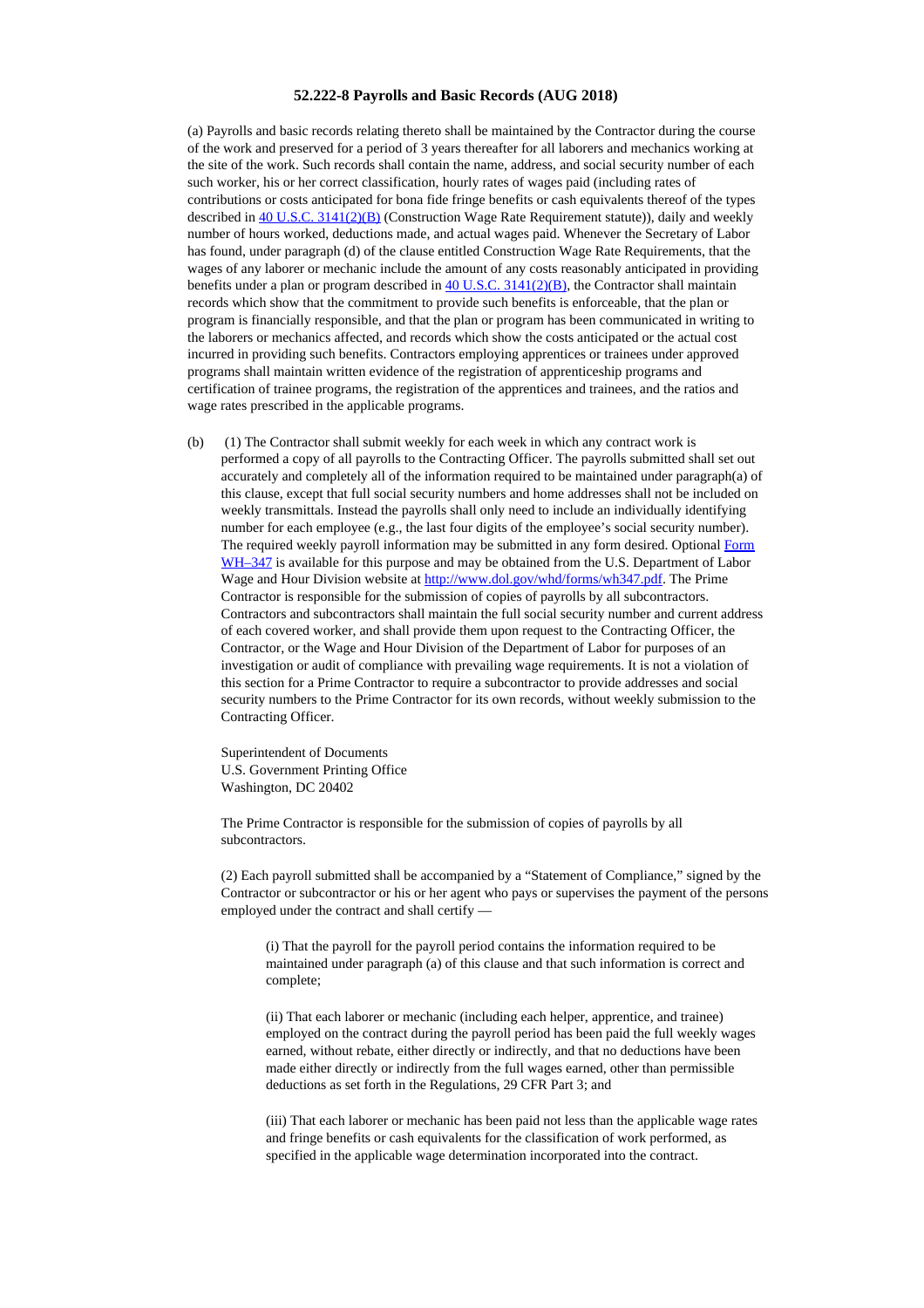## **52.222-8 Payrolls and Basic Records (AUG 2018)**

(a) Payrolls and basic records relating thereto shall be maintained by the Contractor during the course of the work and preserved for a period of 3 years thereafter for all laborers and mechanics working at the site of the work. Such records shall contain the name, address, and social security number of each such worker, his or her correct classification, hourly rates of wages paid (including rates of contributions or costs anticipated for bona fide fringe benefits or cash equivalents thereof of the types described in  $40$  U.S.C.  $3141(2)(B)$  (Construction Wage Rate Requirement statute)), daily and weekly number of hours worked, deductions made, and actual wages paid. Whenever the Secretary of Labor has found, under paragraph (d) of the clause entitled Construction Wage Rate Requirements, that the wages of any laborer or mechanic include the amount of any costs reasonably anticipated in providing benefits under a plan or program described in 40 U.S.C. [3141\(2\)\(B\)](http://uscode.house.gov/), the Contractor shall maintain records which show that the commitment to provide such benefits is enforceable, that the plan or program is financially responsible, and that the plan or program has been communicated in writing to the laborers or mechanics affected, and records which show the costs anticipated or the actual cost incurred in providing such benefits. Contractors employing apprentices or trainees under approved programs shall maintain written evidence of the registration of apprenticeship programs and certification of trainee programs, the registration of the apprentices and trainees, and the ratios and wage rates prescribed in the applicable programs.

(b) (1) The Contractor shall submit weekly for each week in which any contract work is performed a copy of all payrolls to the Contracting Officer. The payrolls submitted shall set out accurately and completely all of the information required to be maintained under paragraph(a) of this clause, except that full social security numbers and home addresses shall not be included on weekly transmittals. Instead the payrolls shall only need to include an individually identifying number for each employee (e.g., the last four digits of the employee's social security number). The required weekly payroll information may be submitted in any form desired. Optional Form WH–347 is available for this purpose and may be obtained from the U.S. Department of Labor Wage and Hour Division website at http://www.dol.gov/whd/forms/wh347.pdf. The Prime Contractor is responsible for the submission of copies of payrolls by all subcontractors. Contractors and subcontractors shall maintain the full social security number and current address of each covered worker, and shall provide them upon request to the Contracting Officer, the Contractor, or the Wage and Hour Division of the Department of Labor for purposes of an investigation or audit of compliance with prevailing wage requirements. It is not a violation of this section for a Prime Contractor to require a subcontractor to provide addresses and social security numbers to the Prime Contractor for its own records, without weekly submission to the Contracting Officer.

Superintendent of Documents U.S. Government Printing Office Washington, DC 20402

The Prime Contractor is responsible for the submission of copies of payrolls by all subcontractors.

(2) Each payroll submitted shall be accompanied by a "Statement of Compliance," signed by the Contractor or subcontractor or his or her agent who pays or supervises the payment of the persons employed under the contract and shall certify —

(i) That the payroll for the payroll period contains the information required to be maintained under paragraph (a) of this clause and that such information is correct and complete;

(ii) That each laborer or mechanic (including each helper, apprentice, and trainee) employed on the contract during the payroll period has been paid the full weekly wages earned, without rebate, either directly or indirectly, and that no deductions have been made either directly or indirectly from the full wages earned, other than permissible deductions as set forth in the Regulations, 29 CFR Part 3; and

(iii) That each laborer or mechanic has been paid not less than the applicable wage rates and fringe benefits or cash equivalents for the classification of work performed, as specified in the applicable wage determination incorporated into the contract.